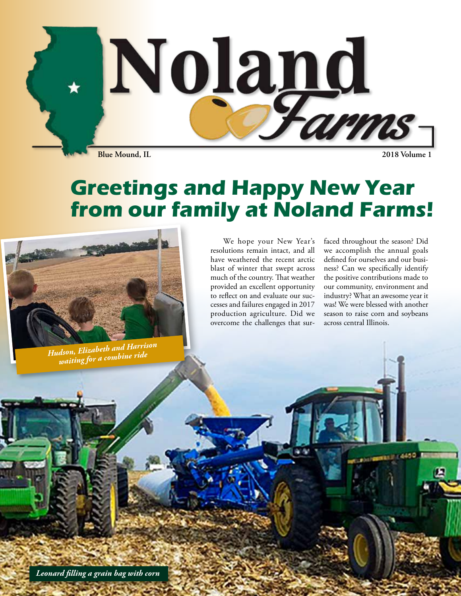

## **Greetings and Happy New Year from our family at Noland Farms!**



*Hudson, Elizabeth and Harrison waiting for a combine ride*

We hope your New Year's resolutions remain intact, and all have weathered the recent arctic blast of winter that swept across much of the country. That weather provided an excellent opportunity to reflect on and evaluate our successes and failures engaged in 2017 production agriculture. Did we overcome the challenges that surfaced throughout the season? Did we accomplish the annual goals defined for ourselves and our business? Can we specifically identify the positive contributions made to our community, environment and industry? What an awesome year it was! We were blessed with another season to raise corn and soybeans across central Illinois.

*Leonard filling a grain bag with corn*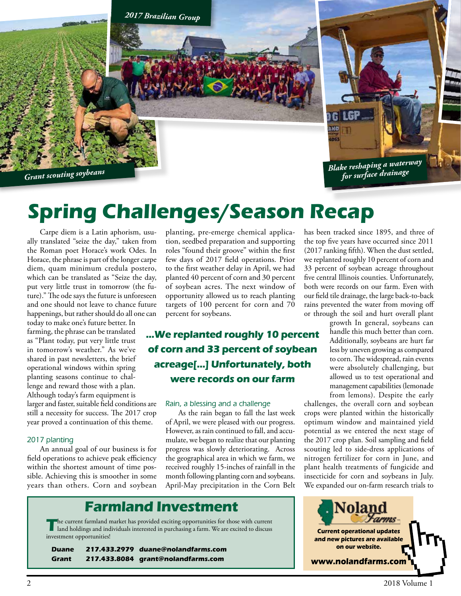

# **Spring Challenges/Season Recap**

Carpe diem is a Latin aphorism, usually translated "seize the day," taken from the Roman poet Horace's work Odes. In Horace, the phrase is part of the longer carpe diem, quam minimum credula postero, which can be translated as "Seize the day, put very little trust in tomorrow (the future)." The ode says the future is unforeseen and one should not leave to chance future happenings, but rather should do all one can

today to make one's future better. In farming, the phrase can be translated as "Plant today, put very little trust in tomorrow's weather." As we've shared in past newsletters, the brief operational windows within spring planting seasons continue to challenge and reward those with a plan. Although today's farm equipment is larger and faster, suitable field conditions are still a necessity for success. The 2017 crop year proved a continuation of this theme.

#### *2017 planting*

An annual goal of our business is for field operations to achieve peak efficiency within the shortest amount of time possible. Achieving this is smoother in some years than others. Corn and soybean

planting, pre-emerge chemical application, seedbed preparation and supporting roles "found their groove" within the first few days of 2017 field operations. Prior to the first weather delay in April, we had planted 40 percent of corn and 30 percent of soybean acres. The next window of opportunity allowed us to reach planting targets of 100 percent for corn and 70 percent for soybeans.

**...We replanted roughly 10 percent of corn and 33 percent of soybean acreage[...] Unfortunately, both were records on our farm**

#### *Rain, a blessing and a challenge*

As the rain began to fall the last week of April, we were pleased with our progress. However, as rain continued to fall, and accumulate, we began to realize that our planting progress was slowly deteriorating. Across the geographical area in which we farm, we received roughly 15-inches of rainfall in the month following planting corn and soybeans. April-May precipitation in the Corn Belt has been tracked since 1895, and three of the top five years have occurred since 2011 (2017 ranking fifth). When the dust settled, we replanted roughly 10 percent of corn and 33 percent of soybean acreage throughout five central Illinois counties. Unfortunately, both were records on our farm. Even with our field tile drainage, the large back-to-back rains prevented the water from moving off or through the soil and hurt overall plant

growth In general, soybeans can handle this much better than corn. Additionally, soybeans are hurt far less by uneven growing as compared to corn. The widespread, rain events were absolutely challenging, but allowed us to test operational and management capabilities (lemonade from lemons). Despite the early

challenges, the overall corn and soybean crops were planted within the historically optimum window and maintained yield potential as we entered the next stage of the 2017 crop plan. Soil sampling and field scouting led to side-dress applications of nitrogen fertilizer for corn in June, and plant health treatments of fungicide and insecticide for corn and soybeans in July. We expanded our on-farm research trials to

## Noland Farms**and new pictures are available on our website. www.nolandfarms.com**

## **Farmland Investment**

The current farmland market has provided exciting opportunities for those with current<br>land holdings and individuals interested in purchasing a farm. We are excited to discuss<br>investment opportunities!

| Duane | 217.433.2979 duane@nolandfarms.com |
|-------|------------------------------------|
| Grant | 217.433.8084 grant@nolandfarms.com |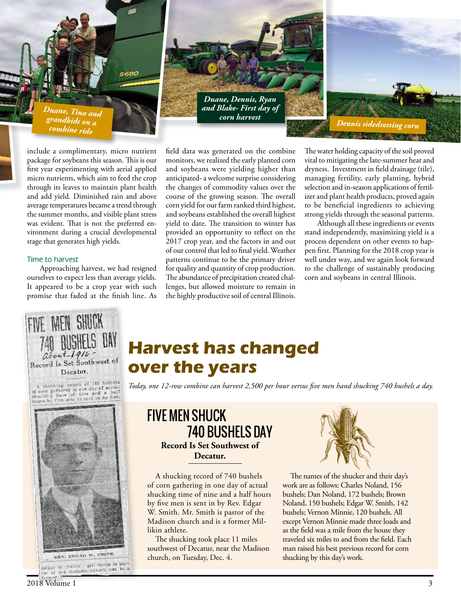*Duane, Tina and grandkids on a combine ride*

include a complimentary, micro nutrient package for soybeans this season. This is our first year experimenting with aerial applied micro nutrients, which aim to feed the crop through its leaves to maintain plant health and add yield. Diminished rain and above average temperatures became a trend through the summer months, and visible plant stress was evident. That is not the preferred environment during a crucial developmental stage that generates high yields.

#### *Time to harvest*

Approaching harvest, we had resigned ourselves to expect less than average yields. It appeared to be a crop year with such promise that faded at the finish line. As

field data was generated on the combine monitors, we realized the early planted corn and soybeans were yielding higher than anticipated- a welcome surprise considering the changes of commodity values over the course of the growing season. The overall corn yield for our farm ranked third highest, and soybeans established the overall highest yield to date. The transition to winter has provided an opportunity to reflect on the 2017 crop year, and the factors in and out of our control that led to final yield. Weather patterns continue to be the primary driver for quality and quantity of crop production. The abundance of precipitation created challenges, but allowed moisture to remain in the highly productive soil of central Illinois.

*Duane, Dennis, Ryan and Blake- First day of corn harvest*

> The water holding capacity of the soil proved vital to mitigating the late-summer heat and dryness. Investment in field drainage (tile), managing fertility, early planting, hybrid selection and in-season applications of fertilizer and plant health products, proved again to be beneficial ingredients to achieving strong yields through the seasonal patterns.

*Dennis sidedressing corn*

Although all these ingredients or events stand independently, maximizing yield is a process dependent on other events to happen first. Planning for the 2018 crop year is well under way, and we again look forward to the challenge of sustainably producing corn and soybeans in central Illinois.



**Harvest has changed over the years**

A shucking record of 740 bushels<br>of corn gathered in one day of actual<br>shucking time of nine and a half<br>hours by five men is sent in by Rev.



*Today, one 12-row combine can harvest 2,500 per hour versus five men hand shucking 740 bushels a day.*





A shucking record of 740 bushels of corn gathering in one day of actual shucking time of nine and a half hours by five men is sent in by Rev. Edgar W. Smith. Mr. Smith is pastor of the Madison church and is a former Millikin athlete.

The shucking took place 11 miles southwest of Decatur, near the Madison church, on Tuesday, Dec. 4.



The names of the shucker and their day's work are as follows: Charles Noland, 156 bushels; Dan Noland, 172 bushels; Brown Noland, 150 bushels; Edgar W. Smith, 142 bushels; Vernon Minnie, 120 bushels. All except Vernon Minnie made three loads and as the field was a mile from the house they traveled six miles to and from the field. Each man raised his best previous record for corn shucking by this day's work.